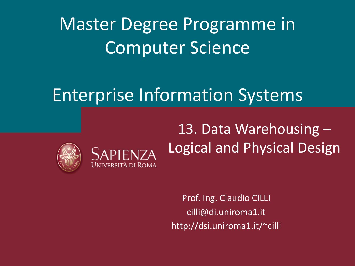Master Degree Programme in Computer Science

## Enterprise Information Systems



13. Data Warehousing – Logical and Physical Design

Prof. Ing. Claudio CILLI cilli@di.uniroma1.it http://dsi.uniroma1.it/~cilli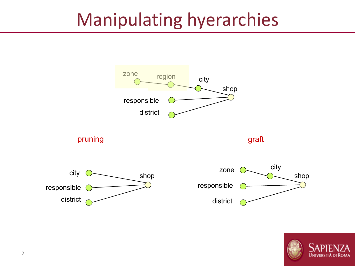## Manipulating hyerarchies



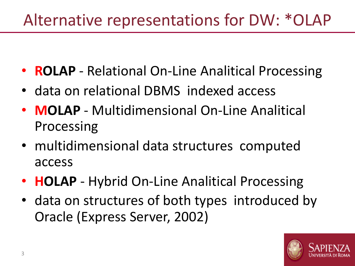#### Alternative representations for DW: \*OLAP

- **ROLAP** Relational On-Line Analitical Processing
- data on relational DBMS indexed access
- **MOLAP** Multidimensional On-Line Analitical Processing
- multidimensional data structures computed access
- **HOLAP** Hybrid On-Line Analitical Processing
- data on structures of both types introduced by Oracle (Express Server, 2002)

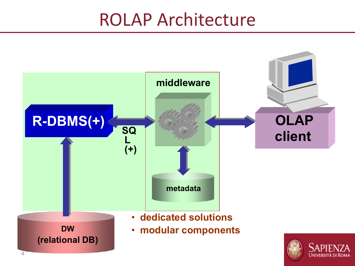#### ROLAP Architecture

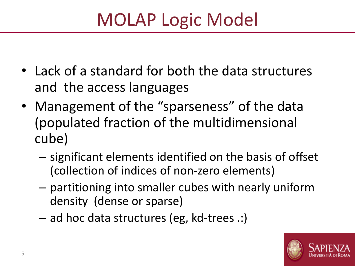# MOLAP Logic Model

- Lack of a standard for both the data structures and the access languages
- Management of the "sparseness" of the data (populated fraction of the multidimensional cube)
	- significant elements identified on the basis of offset (collection of indices of non-zero elements)
	- partitioning into smaller cubes with nearly uniform density (dense or sparse)
	- ad hoc data structures (eg, kd-trees .:)

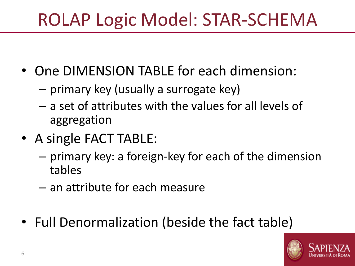# ROLAP Logic Model: STAR-SCHEMA

- One DIMENSION TABLE for each dimension:
	- primary key (usually a surrogate key)
	- a set of attributes with the values for all levels of aggregation
- A single FACT TABLE:
	- primary key: a foreign-key for each of the dimension tables
	- an attribute for each measure
- Full Denormalization (beside the fact table)

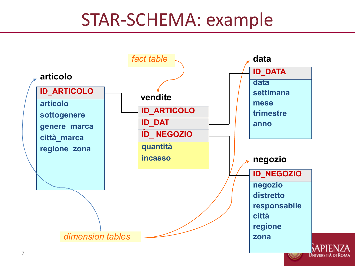#### STAR-SCHEMA: example

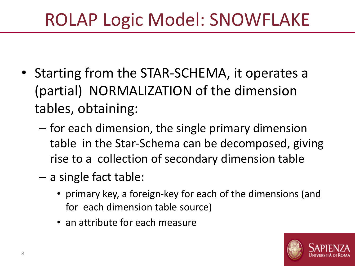# ROLAP Logic Model: SNOWFLAKE

- Starting from the STAR-SCHEMA, it operates a (partial) NORMALIZATION of the dimension tables, obtaining:
	- for each dimension, the single primary dimension table in the Star-Schema can be decomposed, giving rise to a collection of secondary dimension table
	- a single fact table:
		- primary key, a foreign-key for each of the dimensions (and for each dimension table source)
		- an attribute for each measure

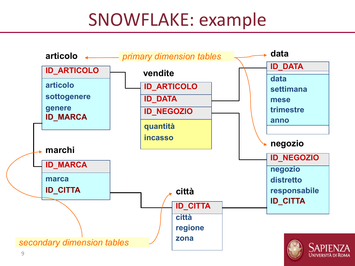## SNOWFLAKE: example

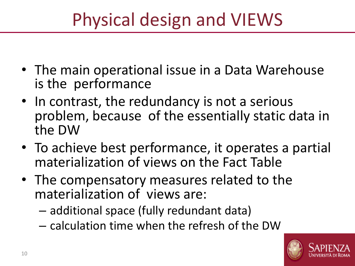# Physical design and VIEWS

- The main operational issue in a Data Warehouse is the performance
- In contrast, the redundancy is not a serious problem, because of the essentially static data in the DW
- To achieve best performance, it operates a partial materialization of views on the Fact Table
- The compensatory measures related to the materialization of views are:
	- additional space (fully redundant data)
	- calculation time when the refresh of the DW

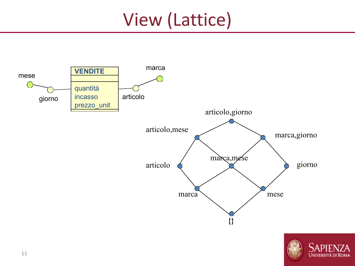# View (Lattice)